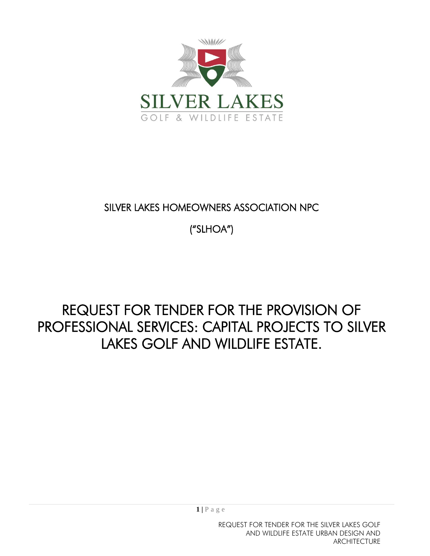

## SILVER LAKES HOMEOWNERS ASSOCIATION NPC

("SLHOA")

# REQUEST FOR TENDER FOR THE PROVISION OF PROFESSIONAL SERVICES: CAPITAL PROJECTS TO SILVER LAKES GOLF AND WILDLIFE ESTATE.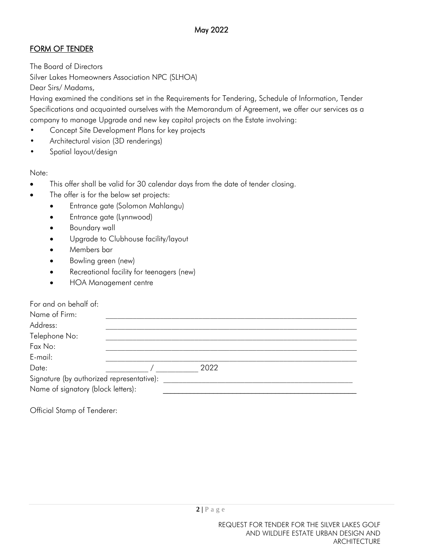### FORM OF TENDER

The Board of Directors Silver Lakes Homeowners Association NPC (SLHOA) Dear Sirs/ Madams,

Having examined the conditions set in the Requirements for Tendering, Schedule of Information, Tender Specifications and acquainted ourselves with the Memorandum of Agreement, we offer our services as a company to manage Upgrade and new key capital projects on the Estate involving:

- Concept Site Development Plans for key projects
- Architectural vision (3D renderings)
- Spatial layout/design

Note:

- This offer shall be valid for 30 calendar days from the date of tender closing.
- The offer is for the below set projects:
	- Entrance gate (Solomon Mahlangu)
	- Entrance gate (Lynnwood)
	- Boundary wall
	- Upgrade to Clubhouse facility/layout
	- Members bar
	- Bowling green (new)
	- Recreational facility for teenagers (new)
	- HOA Management centre

| For and on behalf of:                                                           |      |  |
|---------------------------------------------------------------------------------|------|--|
| Name of Firm:                                                                   |      |  |
| Address:                                                                        |      |  |
| Telephone No:                                                                   |      |  |
| Fax No:                                                                         |      |  |
| E-mail:                                                                         |      |  |
| Date:                                                                           | 2022 |  |
|                                                                                 |      |  |
|                                                                                 |      |  |
| Signature (by authorized representative):<br>Name of signatory (block letters): |      |  |

Official Stamp of Tenderer: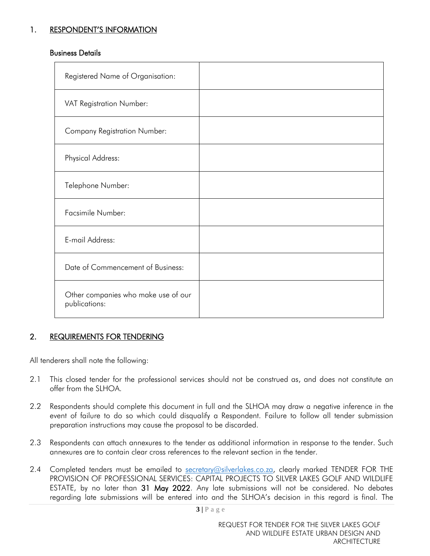#### 1. RESPONDENT'S INFORMATION

#### Business Details

| Registered Name of Organisation:                     |  |
|------------------------------------------------------|--|
| VAT Registration Number:                             |  |
| <b>Company Registration Number:</b>                  |  |
| Physical Address:                                    |  |
| Telephone Number:                                    |  |
| Facsimile Number:                                    |  |
| E-mail Address:                                      |  |
| Date of Commencement of Business:                    |  |
| Other companies who make use of our<br>publications: |  |

#### 2. REQUIREMENTS FOR TENDERING

All tenderers shall note the following:

- 2.1 This closed tender for the professional services should not be construed as, and does not constitute an offer from the SLHOA.
- 2.2 Respondents should complete this document in full and the SLHOA may draw a negative inference in the event of failure to do so which could disqualify a Respondent. Failure to follow all tender submission preparation instructions may cause the proposal to be discarded.
- 2.3 Respondents can attach annexures to the tender as additional information in response to the tender. Such annexures are to contain clear cross references to the relevant section in the tender.
- 2.4 Completed tenders must be emailed to [secretary@silverlakes.co.za,](mailto:secretary@silverlakes.co.za) clearly marked TENDER FOR THE PROVISION OF PROFESSIONAL SERVICES: CAPITAL PROJECTS TO SILVER LAKES GOLF AND WILDLIFE ESTATE, by no later than 31 May 2022. Any late submissions will not be considered. No debates regarding late submissions will be entered into and the SLHOA's decision in this regard is final. The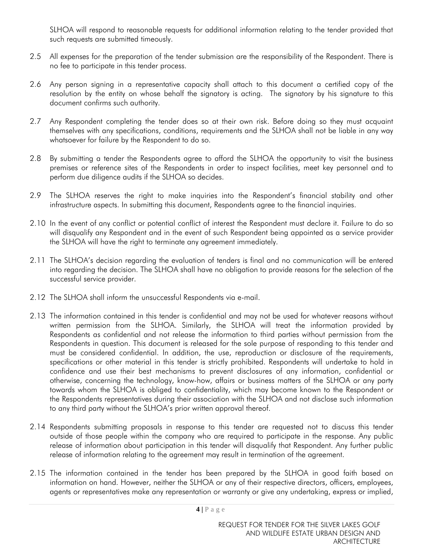SLHOA will respond to reasonable requests for additional information relating to the tender provided that such requests are submitted timeously.

- 2.5 All expenses for the preparation of the tender submission are the responsibility of the Respondent. There is no fee to participate in this tender process.
- 2.6 Any person signing in a representative capacity shall attach to this document a certified copy of the resolution by the entity on whose behalf the signatory is acting. The signatory by his signature to this document confirms such authority.
- 2.7 Any Respondent completing the tender does so at their own risk. Before doing so they must acquaint themselves with any specifications, conditions, requirements and the SLHOA shall not be liable in any way whatsoever for failure by the Respondent to do so.
- 2.8 By submitting a tender the Respondents agree to afford the SLHOA the opportunity to visit the business premises or reference sites of the Respondents in order to inspect facilities, meet key personnel and to perform due diligence audits if the SLHOA so decides.
- 2.9 The SLHOA reserves the right to make inquiries into the Respondent's financial stability and other infrastructure aspects. In submitting this document, Respondents agree to the financial inquiries.
- 2.10 In the event of any conflict or potential conflict of interest the Respondent must declare it. Failure to do so will disqualify any Respondent and in the event of such Respondent being appointed as a service provider the SLHOA will have the right to terminate any agreement immediately.
- 2.11 The SLHOA's decision regarding the evaluation of tenders is final and no communication will be entered into regarding the decision. The SLHOA shall have no obligation to provide reasons for the selection of the successful service provider.
- 2.12 The SLHOA shall inform the unsuccessful Respondents via e-mail.
- 2.13 The information contained in this tender is confidential and may not be used for whatever reasons without written permission from the SLHOA. Similarly, the SLHOA will treat the information provided by Respondents as confidential and not release the information to third parties without permission from the Respondents in question. This document is released for the sole purpose of responding to this tender and must be considered confidential. In addition, the use, reproduction or disclosure of the requirements, specifications or other material in this tender is strictly prohibited. Respondents will undertake to hold in confidence and use their best mechanisms to prevent disclosures of any information, confidential or otherwise, concerning the technology, know-how, affairs or business matters of the SLHOA or any party towards whom the SLHOA is obliged to confidentiality, which may become known to the Respondent or the Respondents representatives during their association with the SLHOA and not disclose such information to any third party without the SLHOA's prior written approval thereof.
- 2.14 Respondents submitting proposals in response to this tender are requested not to discuss this tender outside of those people within the company who are required to participate in the response. Any public release of information about participation in this tender will disqualify that Respondent. Any further public release of information relating to the agreement may result in termination of the agreement.
- 2.15 The information contained in the tender has been prepared by the SLHOA in good faith based on information on hand. However, neither the SLHOA or any of their respective directors, officers, employees, agents or representatives make any representation or warranty or give any undertaking, express or implied,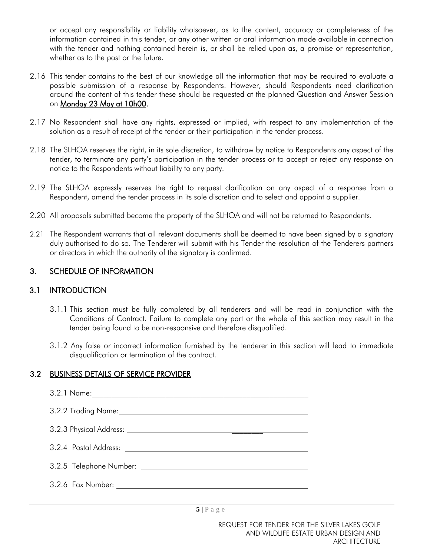or accept any responsibility or liability whatsoever, as to the content, accuracy or completeness of the information contained in this tender, or any other written or oral information made available in connection with the tender and nothing contained herein is, or shall be relied upon as, a promise or representation, whether as to the past or the future.

- 2.16 This tender contains to the best of our knowledge all the information that may be required to evaluate a possible submission of a response by Respondents. However, should Respondents need clarification around the content of this tender these should be requested at the planned Question and Answer Session on Monday 23 May at 10h00.
- 2.17 No Respondent shall have any rights, expressed or implied, with respect to any implementation of the solution as a result of receipt of the tender or their participation in the tender process.
- 2.18 The SLHOA reserves the right, in its sole discretion, to withdraw by notice to Respondents any aspect of the tender, to terminate any party's participation in the tender process or to accept or reject any response on notice to the Respondents without liability to any party.
- 2.19 The SLHOA expressly reserves the right to request clarification on any aspect of a response from a Respondent, amend the tender process in its sole discretion and to select and appoint a supplier.
- 2.20 All proposals submitted become the property of the SLHOA and will not be returned to Respondents.
- 2.21 The Respondent warrants that all relevant documents shall be deemed to have been signed by a signatory duly authorised to do so. The Tenderer will submit with his Tender the resolution of the Tenderers partners or directors in which the authority of the signatory is confirmed.

#### 3. SCHEDULE OF INFORMATION

#### 3.1 INTRODUCTION

- 3.1.1 This section must be fully completed by all tenderers and will be read in conjunction with the Conditions of Contract. Failure to complete any part or the whole of this section may result in the tender being found to be non-responsive and therefore disqualified.
- 3.1.2 Any false or incorrect information furnished by the tenderer in this section will lead to immediate disqualification or termination of the contract.

#### 3.2 BUSINESS DETAILS OF SERVICE PROVIDER

| 3.2.6 Fax Number: 2008 2010 12:00 12:00 12:00 12:00 12:00 12:00 12:00 12:00 12:00 12:00 12:00 12:00 1 |
|-------------------------------------------------------------------------------------------------------|
|                                                                                                       |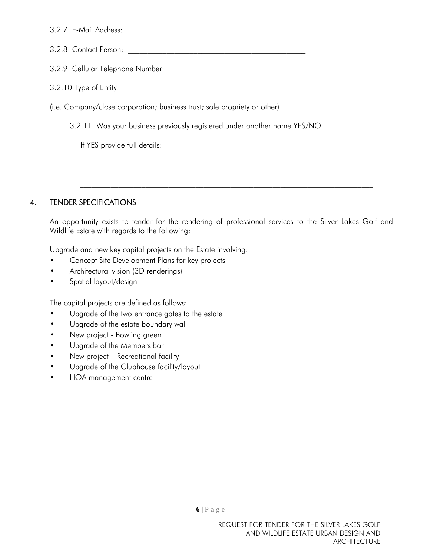| 3.2.8 Contact Person: The Second Second Second Second Second Second Second Second Second Second Second Second Second Second Second Second Second Second Second Second Second Second Second Second Second Second Second Second |  |  |  |  |
|-------------------------------------------------------------------------------------------------------------------------------------------------------------------------------------------------------------------------------|--|--|--|--|
|                                                                                                                                                                                                                               |  |  |  |  |
|                                                                                                                                                                                                                               |  |  |  |  |
| (i.e. Company/close corporation; business trust; sole propriety or other)                                                                                                                                                     |  |  |  |  |
| 3.2.11 Was your business previously registered under another name YES/NO.                                                                                                                                                     |  |  |  |  |
| If YES provide full details:                                                                                                                                                                                                  |  |  |  |  |
|                                                                                                                                                                                                                               |  |  |  |  |

#### 4. TENDER SPECIFICATIONS

An opportunity exists to tender for the rendering of professional services to the Silver Lakes Golf and Wildlife Estate with regards to the following:

 $\_$  , and the set of the set of the set of the set of the set of the set of the set of the set of the set of the set of the set of the set of the set of the set of the set of the set of the set of the set of the set of th

 $\mathcal{L}_\mathcal{L} = \{ \mathcal{L}_\mathcal{L} = \{ \mathcal{L}_\mathcal{L} = \{ \mathcal{L}_\mathcal{L} = \{ \mathcal{L}_\mathcal{L} = \{ \mathcal{L}_\mathcal{L} = \{ \mathcal{L}_\mathcal{L} = \{ \mathcal{L}_\mathcal{L} = \{ \mathcal{L}_\mathcal{L} = \{ \mathcal{L}_\mathcal{L} = \{ \mathcal{L}_\mathcal{L} = \{ \mathcal{L}_\mathcal{L} = \{ \mathcal{L}_\mathcal{L} = \{ \mathcal{L}_\mathcal{L} = \{ \mathcal{L}_\mathcal{$ 

Upgrade and new key capital projects on the Estate involving:

- Concept Site Development Plans for key projects
- Architectural vision (3D renderings)
- Spatial layout/design

The capital projects are defined as follows:

- Upgrade of the two entrance gates to the estate
- Upgrade of the estate boundary wall
- New project Bowling green
- Upgrade of the Members bar
- New project Recreational facility
- Upgrade of the Clubhouse facility/layout
- HOA management centre